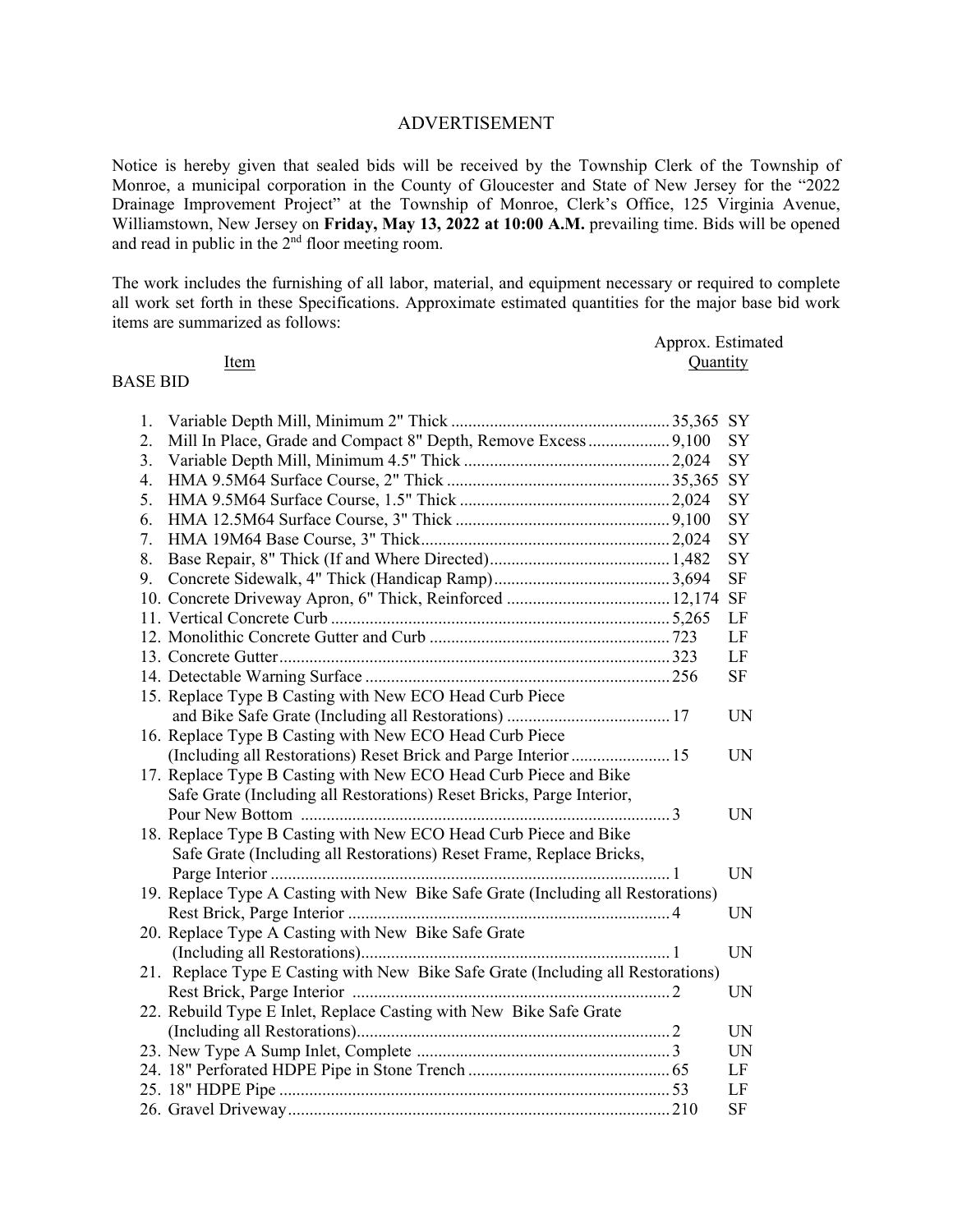## ADVERTISEMENT

Notice is hereby given that sealed bids will be received by the Township Clerk of the Township of Monroe, a municipal corporation in the County of Gloucester and State of New Jersey for the "2022 Drainage Improvement Project" at the Township of Monroe, Clerk's Office, 125 Virginia Avenue, Williamstown, New Jersey on **Friday, May 13, 2022 at 10:00 A.M.** prevailing time. Bids will be opened and read in public in the  $2<sup>nd</sup>$  floor meeting room.

The work includes the furnishing of all labor, material, and equipment necessary or required to complete all work set forth in these Specifications. Approximate estimated quantities for the major base bid work items are summarized as follows:

|                 |      | Approx. Estimated |
|-----------------|------|-------------------|
|                 | ltem | Quantity          |
| <b>BASE BID</b> |      |                   |

## 1. Variable Depth Mill, Minimum 2" Thick ................................................... 35,365 SY 2. Mill In Place, Grade and Compact 8" Depth, Remove Excess ................... 9,100 SY 3. Variable Depth Mill, Minimum 4.5" Thick ................................................ 2,024 SY 4. HMA 9.5M64 Surface Course, 2" Thick .................................................... 35,365 SY 5. HMA 9.5M64 Surface Course, 1.5" Thick ................................................. 2,024 SY 6. HMA 12.5M64 Surface Course, 3" Thick .................................................. 9,100 SY 7. HMA 19M64 Base Course, 3" Thick .......................................................... 2,024 SY 8. Base Repair, 8" Thick (If and Where Directed) .......................................... 1,482 SY 9. Concrete Sidewalk, 4" Thick (Handicap Ramp) ......................................... 3,694 SF 10. Concrete Driveway Apron, 6" Thick, Reinforced ...................................... 12,174 SF 11. Vertical Concrete Curb ............................................................................... 5,265 LF 12. Monolithic Concrete Gutter and Curb ........................................................ 723 LF 13. Concrete Gutter ........................................................................................... 323 LF 14. Detectable Warning Surface ....................................................................... 256 SF 15. Replace Type B Casting with New ECO Head Curb Piece and Bike Safe Grate (Including all Restorations) ...................................... 17 UN 16. Replace Type B Casting with New ECO Head Curb Piece (Including all Restorations) Reset Brick and Parge Interior ....................... 15 UN 17. Replace Type B Casting with New ECO Head Curb Piece and Bike Safe Grate (Including all Restorations) Reset Bricks, Parge Interior, Pour New Bottom ...................................................................................... 3 UN 18. Replace Type B Casting with New ECO Head Curb Piece and Bike Safe Grate (Including all Restorations) Reset Frame, Replace Bricks, Parge Interior ............................................................................................. 1 UN 19. Replace Type A Casting with New Bike Safe Grate (Including all Restorations) Rest Brick, Parge Interior ........................................................................... 4 UN 20. Replace Type A Casting with New Bike Safe Grate (Including all Restorations) ........................................................................ 1 UN 21. Replace Type E Casting with New Bike Safe Grate (Including all Restorations) Rest Brick, Parge Interior .......................................................................... 2 UN 22. Rebuild Type E Inlet, Replace Casting with New Bike Safe Grate (Including all Restorations) ......................................................................... 2 UN 23. New Type A Sump Inlet, Complete ........................................................... 3 UN 24. 18" Perforated HDPE Pipe in Stone Trench ............................................... 65 LF 25. 18" HDPE Pipe ........................................................................................... 53 LF 26. Gravel Driveway ......................................................................................... 210 SF